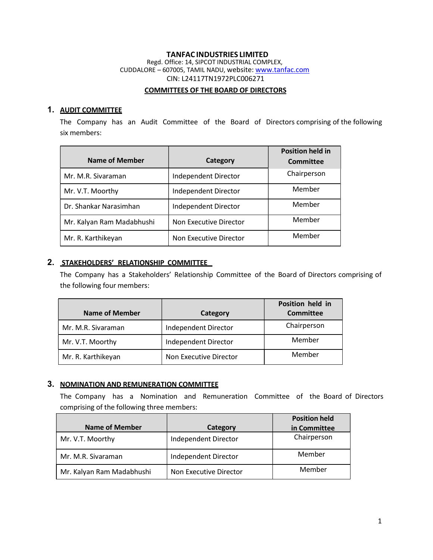#### TANFAC INDUSTRIES LIMITED Regd. Office: 14, SIPCOT INDUSTRIAL COMPLEX, CUDDALORE – 607005, TAMIL NADU, website: www.tanfac.com CIN: L24117TN1972PLC006271

#### COMMITTEES OF THE BOARD OF DIRECTORS

## 1. AUDIT COMMITTEE

The Company has an Audit Committee of the Board of Directors comprising of the following six members:

| <b>Name of Member</b>     | Category               | <b>Position held in</b><br><b>Committee</b> |
|---------------------------|------------------------|---------------------------------------------|
| Mr. M.R. Sivaraman        | Independent Director   | Chairperson                                 |
| Mr. V.T. Moorthy          | Independent Director   | Member                                      |
| Dr. Shankar Narasimhan    | Independent Director   | Member                                      |
| Mr. Kalyan Ram Madabhushi | Non Executive Director | Member                                      |
| Mr. R. Karthikeyan        | Non Executive Director | Member                                      |

## 2. STAKEHOLDERS' RELATIONSHIP COMMITTEE

The Company has a Stakeholders' Relationship Committee of the Board of Directors comprising of the following four members:

| <b>Name of Member</b> | Category               | Position held in<br><b>Committee</b> |
|-----------------------|------------------------|--------------------------------------|
| Mr. M.R. Sivaraman    | Independent Director   | Chairperson                          |
| Mr. V.T. Moorthy      | Independent Director   | Member                               |
| Mr. R. Karthikeyan    | Non Executive Director | Member                               |

# 3. NOMINATION AND REMUNERATION COMMITTEE

The Company has a Nomination and Remuneration Committee of the Board of Directors comprising of the following three members:

|                           |                        | <b>Position held</b> |
|---------------------------|------------------------|----------------------|
| Name of Member            | Category               | in Committee         |
| Mr. V.T. Moorthy          | Independent Director   | Chairperson          |
| Mr. M.R. Sivaraman        | Independent Director   | Member               |
| Mr. Kalyan Ram Madabhushi | Non Executive Director | Member               |